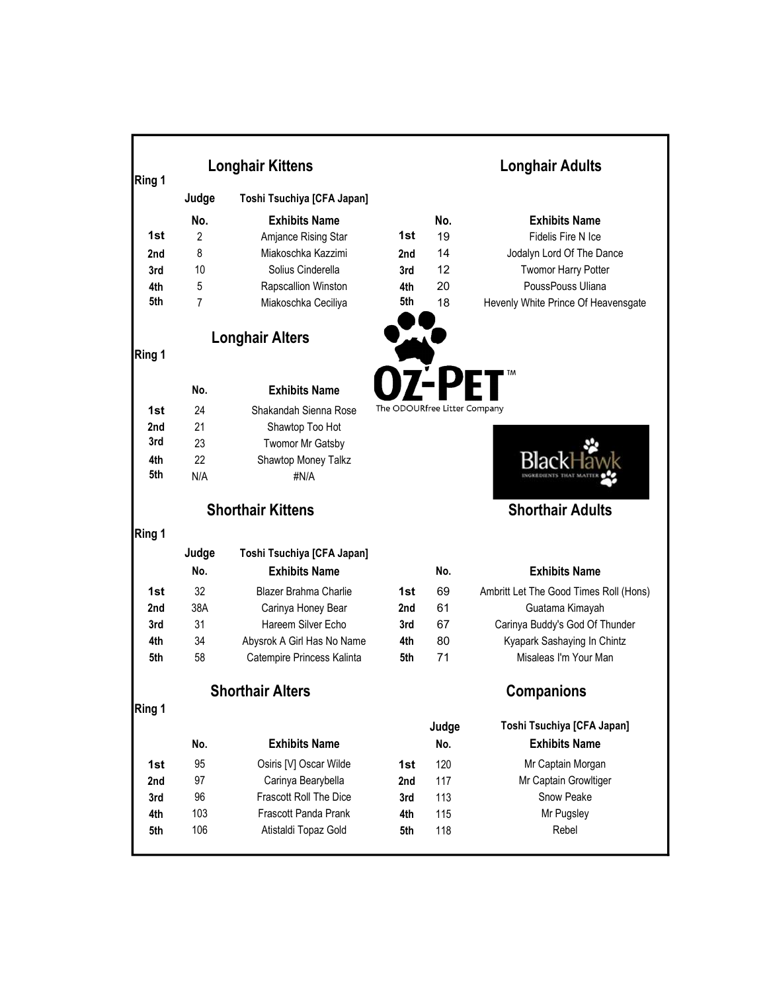| Ring 1 |                | <b>Longhair Kittens</b>      |                              | <b>Longhair Adults</b> |                                        |  |  |
|--------|----------------|------------------------------|------------------------------|------------------------|----------------------------------------|--|--|
|        | Judge          | Toshi Tsuchiya [CFA Japan]   |                              |                        |                                        |  |  |
|        | No.            | <b>Exhibits Name</b>         |                              | No.                    | <b>Exhibits Name</b>                   |  |  |
| 1st    | 2              | Amjance Rising Star          | 1st                          | 19                     | Fidelis Fire N Ice                     |  |  |
| 2nd    | 8              | Miakoschka Kazzimi           | 2nd                          | 14                     | Jodalyn Lord Of The Dance              |  |  |
| 3rd    | 10             | Solius Cinderella            | 3rd                          | 12                     | Twomor Harry Potter                    |  |  |
| 4th    | 5              | Rapscallion Winston          | 4th                          | 20                     | PoussPouss Uliana                      |  |  |
| 5th    | $\overline{7}$ | Miakoschka Ceciliya          | 5th                          | 18                     | Hevenly White Prince Of Heavensgate    |  |  |
|        |                | <b>Longhair Alters</b>       |                              |                        |                                        |  |  |
| Ring 1 |                |                              |                              |                        |                                        |  |  |
|        | No.            | <b>Exhibits Name</b>         |                              |                        |                                        |  |  |
| 1st    | 24             | Shakandah Sienna Rose        | The ODOURfree Litter Company |                        |                                        |  |  |
| 2nd    | 21             | Shawtop Too Hot              |                              |                        |                                        |  |  |
| 3rd    | 23             | Twomor Mr Gatsby             |                              |                        |                                        |  |  |
| 4th    | 22             | Shawtop Money Talkz          |                              |                        |                                        |  |  |
| 5th    | N/A            | #N/A                         |                              |                        |                                        |  |  |
|        |                | <b>Shorthair Kittens</b>     |                              |                        | <b>Shorthair Adults</b>                |  |  |
| Ring 1 |                |                              |                              |                        |                                        |  |  |
|        | Judge          | Toshi Tsuchiya [CFA Japan]   |                              |                        |                                        |  |  |
|        | No.            | <b>Exhibits Name</b>         |                              | No.                    | <b>Exhibits Name</b>                   |  |  |
| 1st    | 32             | <b>Blazer Brahma Charlie</b> | 1st                          | 69                     | Ambritt Let The Good Times Roll (Hons) |  |  |
| 2nd    | 38A            | Carinya Honey Bear           | 2nd                          | 61                     | Guatama Kimayah                        |  |  |
| 3rd    | 31             | Hareem Silver Echo           | 3rd                          | 67                     | Carinya Buddy's God Of Thunder         |  |  |
| 4th    | 34             | Abysrok A Girl Has No Name   | 4th                          | 80                     | Kyapark Sashaying In Chintz            |  |  |
| 5th    | 58             | Catempire Princess Kalinta   | 5th                          | 71                     | Misaleas I'm Your Man                  |  |  |
|        |                | <b>Shorthair Alters</b>      |                              |                        | <b>Companions</b>                      |  |  |
| Ring 1 |                |                              |                              | Judge                  | Toshi Tsuchiya [CFA Japan]             |  |  |
|        | No.            | <b>Exhibits Name</b>         |                              | No.                    | <b>Exhibits Name</b>                   |  |  |
| 1st    | 95             | Osiris [V] Oscar Wilde       | 1st                          | 120                    | Mr Captain Morgan                      |  |  |
| 2nd    | 97             | Carinya Bearybella           | 2nd                          | 117                    | Mr Captain Growltiger                  |  |  |
| 3rd    | 96             | Frascott Roll The Dice       | 3rd                          | 113                    | Snow Peake                             |  |  |
| 4th    | 103            | Frascott Panda Prank         | 4th                          | 115                    | Mr Pugsley                             |  |  |
| 5th    | 106            | Atistaldi Topaz Gold         | 5th                          | 118                    | Rebel                                  |  |  |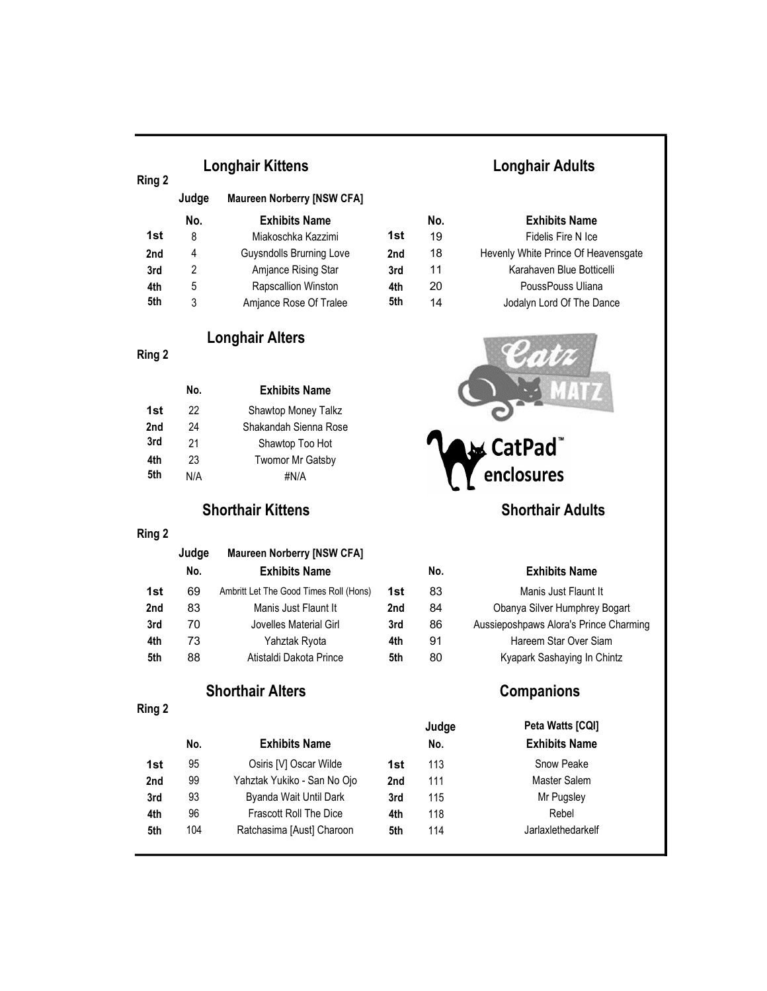### Longhair Kittens

### Judge Maureen Norberry [NSW CFA]

|     | No. | <b>Exhibits Name</b>       |                 | No. | <b>Exhibits Name</b>       |
|-----|-----|----------------------------|-----------------|-----|----------------------------|
| 1st | 8   | Miakoschka Kazzimi         | 1st             | 19  | Fidelis Fire N Ice         |
| 2nd | 4   | Guysndolls Brurning Love   | 2 <sub>nd</sub> | 18  | Hevenly White Prince Of He |
| 3rd | 2   | Amjance Rising Star        | 3rd             | 11  | Karahaven Blue Botti       |
| 4th | 5   | <b>Rapscallion Winston</b> | 4th             | 20  | PoussPouss Ulian           |
| 5th | 3   | Amjance Rose Of Tralee     | 5th             | 14  | Jodalyn Lord Of The D      |

# Longhair Alters

Ring 2

Ring 2

|     | No. | <b>Exhibits Name</b>    |
|-----|-----|-------------------------|
| 1st | 22  | Shawtop Money Talkz     |
| 2nd | 24  | Shakandah Sienna Rose   |
| 3rd | 21  | Shawtop Too Hot         |
| 4th | 23  | <b>Twomor Mr Gatsby</b> |
| 5th | N/A | #N/A                    |

Ring 2

|     | Judge | <b>Maureen Norberry [NSW CFA]</b>      |     |     |                                        |
|-----|-------|----------------------------------------|-----|-----|----------------------------------------|
|     | No.   | <b>Exhibits Name</b>                   |     | No. | <b>Exhibits Name</b>                   |
| 1st | 69    | Ambritt Let The Good Times Roll (Hons) | 1st | 83  | Manis Just Flaunt It                   |
| 2nd | 83    | Manis Just Flaunt It                   | 2nd | 84  | Obanya Silver Humphrey Bogart          |
| 3rd | 70    | Jovelles Material Girl                 | 3rd | 86  | Aussieposhpaws Alora's Prince Charming |
| 4th | 73    | Yahztak Ryota                          | 4th | 91  | Hareem Star Over Siam                  |
| 5th | 88    | Atistaldi Dakota Prince                | 5th | 80  | Kyapark Sashaying In Chintz            |

## Shorthair Alters **Companions**

Ring 2

|     |                             |                 | Judge | Peta Watts [CQI]     |
|-----|-----------------------------|-----------------|-------|----------------------|
| No. | <b>Exhibits Name</b>        |                 | No.   | <b>Exhibits Name</b> |
| 95  | Osiris [V] Oscar Wilde      | 1st             | 113   | Snow Peake           |
| 99  | Yahztak Yukiko - San No Ojo | 2 <sub>nd</sub> | 111   | Master Salem         |
| 93  | Byanda Wait Until Dark      | 3rd             | 115   | Mr Pugsley           |
| 96  | Frascott Roll The Dice      | 4th             | 118   | Rebel                |
| 104 | Ratchasima [Aust] Charoon   | 5th             | 114   | Jarlaxlethedarkelf   |
|     |                             |                 |       |                      |

# Longhair Adults

|     | No. | <b>Exhibits Name</b>            |     | No. | <b>Exhibits Name</b>                |
|-----|-----|---------------------------------|-----|-----|-------------------------------------|
| 1st | 8   | Miakoschka Kazzimi              | 1st | 19  | Fidelis Fire N Ice                  |
| 2nd | 4   | <b>Guysndolls Brurning Love</b> | 2nd | 18  | Hevenly White Prince Of Heavensgate |
| 3rd |     | Amjance Rising Star             | 3rd | 11  | Karahaven Blue Botticelli           |
| 4th | 5   | <b>Rapscallion Winston</b>      | 4th | 20  | PoussPouss Uliana                   |
| 5th | 3   | Amjance Rose Of Tralee          | 5th | 14  | Jodalyn Lord Of The Dance           |



### Shorthair Kittens Shorthair Adults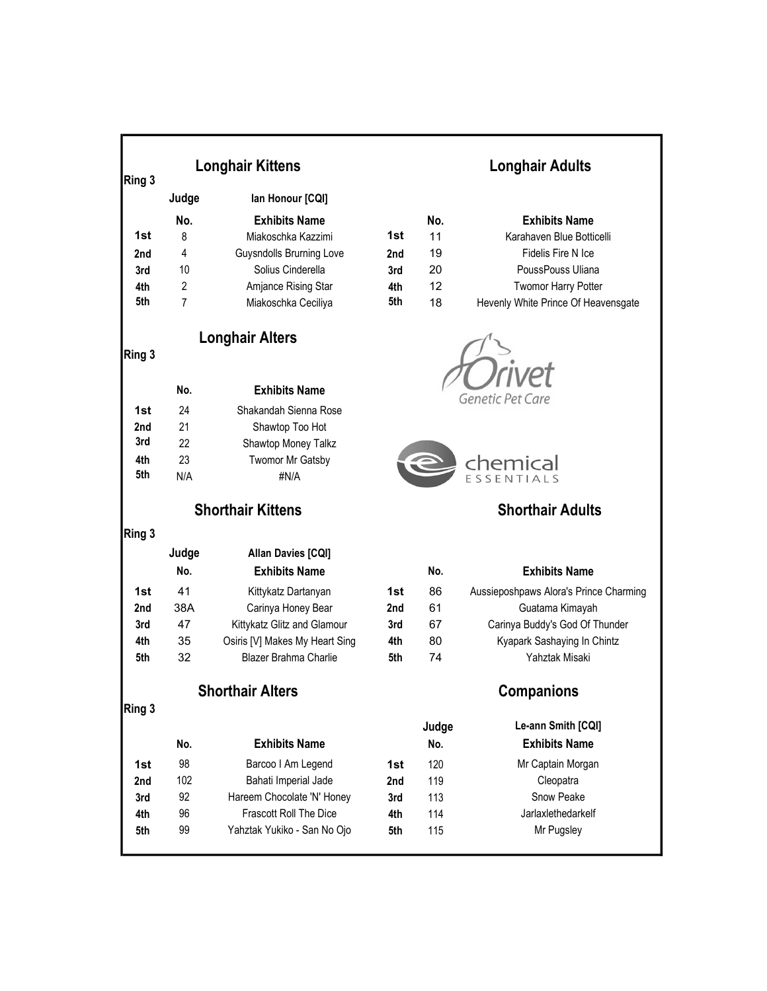|            |                | <b>Longhair Kittens</b>                    |            |              | <b>Longhair Adults</b>                     |
|------------|----------------|--------------------------------------------|------------|--------------|--------------------------------------------|
| Ring 3     |                |                                            |            |              |                                            |
|            | Judge          | lan Honour [CQI]                           |            |              |                                            |
|            | No.            | <b>Exhibits Name</b>                       |            | No.          | <b>Exhibits Name</b>                       |
| 1st        | 8              | Miakoschka Kazzimi                         | 1st        | 11           | Karahaven Blue Botticelli                  |
| 2nd        | 4              | <b>Guysndolls Brurning Love</b>            | 2nd        | 19           | Fidelis Fire N Ice                         |
| 3rd        | 10             | Solius Cinderella                          | 3rd        | 20           | PoussPouss Uliana                          |
| 4th        | $\overline{2}$ | Amjance Rising Star                        | 4th        | 12           | <b>Twomor Harry Potter</b>                 |
| 5th        | $\overline{7}$ | Miakoschka Ceciliya                        | 5th        | 18           | Hevenly White Prince Of Heavensgate        |
|            |                | <b>Longhair Alters</b>                     |            |              |                                            |
| Ring 3     |                |                                            |            |              |                                            |
|            | No.            | <b>Exhibits Name</b>                       |            |              | Genetic Pet Care                           |
| 1st        | 24             | Shakandah Sienna Rose                      |            |              |                                            |
| 2nd        | 21             | Shawtop Too Hot                            |            |              |                                            |
| 3rd        | 22             | Shawtop Money Talkz                        |            |              |                                            |
| 4th        | 23             | <b>Twomor Mr Gatsby</b>                    |            |              | chemical                                   |
| 5th        | N/A            | #N/A                                       |            |              | ESSENTIALS                                 |
|            |                | <b>Shorthair Kittens</b>                   |            |              | <b>Shorthair Adults</b>                    |
| Ring 3     |                |                                            |            |              |                                            |
|            | Judge          | Allan Davies [CQI]                         |            |              |                                            |
|            | No.            | <b>Exhibits Name</b>                       |            | No.          | <b>Exhibits Name</b>                       |
| 1st        | 41             | Kittykatz Dartanyan                        | 1st        | 86           | Aussieposhpaws Alora's Prince Charming     |
| 2nd        | 38A            | Carinya Honey Bear                         | 2nd        | 61           | Guatama Kimayah                            |
| 3rd        | 47             | Kittykatz Glitz and Glamour                | 3rd        | 67           | Carinya Buddy's God Of Thunder             |
| 4th        | 35             | Osiris [V] Makes My Heart Sing             | 4th        | 80           | Kyapark Sashaying In Chintz                |
| 5th        | 32             | <b>Blazer Brahma Charlie</b>               | 5th        | 74           | Yahztak Misaki                             |
|            |                | <b>Shorthair Alters</b>                    |            |              | <b>Companions</b>                          |
| Ring 3     |                |                                            |            |              |                                            |
|            | No.            | <b>Exhibits Name</b>                       |            | Judge<br>No. | Le-ann Smith [CQI]<br><b>Exhibits Name</b> |
|            | 98             |                                            |            |              |                                            |
| 1st        | 102            | Barcoo I Am Legend<br>Bahati Imperial Jade | 1st        | 120<br>119   | Mr Captain Morgan                          |
| 2nd        | 92             | Hareem Chocolate 'N' Honey                 | 2nd        | 113          | Cleopatra<br>Snow Peake                    |
| 3rd<br>4th | 96             | <b>Frascott Roll The Dice</b>              | 3rd<br>4th | 114          | Jarlaxlethedarkelf                         |
|            |                |                                            |            |              |                                            |
| 5th        | 99             | Yahztak Yukiko - San No Ojo                | 5th        | 115          | Mr Pugsley                                 |